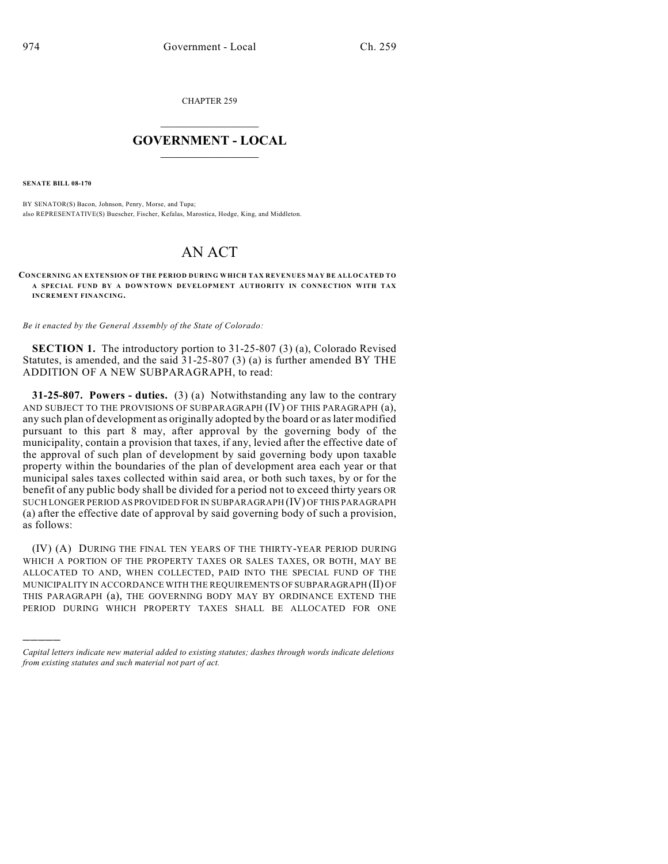CHAPTER 259

## $\mathcal{L}_\text{max}$  . The set of the set of the set of the set of the set of the set of the set of the set of the set of the set of the set of the set of the set of the set of the set of the set of the set of the set of the set **GOVERNMENT - LOCAL**  $\_$

**SENATE BILL 08-170**

)))))

BY SENATOR(S) Bacon, Johnson, Penry, Morse, and Tupa; also REPRESENTATIVE(S) Buescher, Fischer, Kefalas, Marostica, Hodge, King, and Middleton.

## AN ACT

**CONCERNING AN EXTENSION OF THE PERIOD DURING WHICH TAX REVENUES MAY BE ALLOCATED TO A SPECIAL FUND BY A DOWNTOWN DEVELOPMENT AUTHORITY IN CONNECTION WITH TAX INCREMENT FINANCING.**

*Be it enacted by the General Assembly of the State of Colorado:*

**SECTION 1.** The introductory portion to 31-25-807 (3) (a), Colorado Revised Statutes, is amended, and the said 31-25-807 (3) (a) is further amended BY THE ADDITION OF A NEW SUBPARAGRAPH, to read:

**31-25-807. Powers - duties.** (3) (a) Notwithstanding any law to the contrary AND SUBJECT TO THE PROVISIONS OF SUBPARAGRAPH (IV) OF THIS PARAGRAPH (a), any such plan of development as originally adopted by the board or as later modified pursuant to this part 8 may, after approval by the governing body of the municipality, contain a provision that taxes, if any, levied after the effective date of the approval of such plan of development by said governing body upon taxable property within the boundaries of the plan of development area each year or that municipal sales taxes collected within said area, or both such taxes, by or for the benefit of any public body shall be divided for a period not to exceed thirty years OR SUCH LONGER PERIOD AS PROVIDED FOR IN SUBPARAGRAPH (IV) OF THIS PARAGRAPH (a) after the effective date of approval by said governing body of such a provision, as follows:

(IV) (A) DURING THE FINAL TEN YEARS OF THE THIRTY-YEAR PERIOD DURING WHICH A PORTION OF THE PROPERTY TAXES OR SALES TAXES, OR BOTH, MAY BE ALLOCATED TO AND, WHEN COLLECTED, PAID INTO THE SPECIAL FUND OF THE MUNICIPALITY IN ACCORDANCE WITH THE REQUIREMENTS OF SUBPARAGRAPH (II) OF THIS PARAGRAPH (a), THE GOVERNING BODY MAY BY ORDINANCE EXTEND THE PERIOD DURING WHICH PROPERTY TAXES SHALL BE ALLOCATED FOR ONE

*Capital letters indicate new material added to existing statutes; dashes through words indicate deletions from existing statutes and such material not part of act.*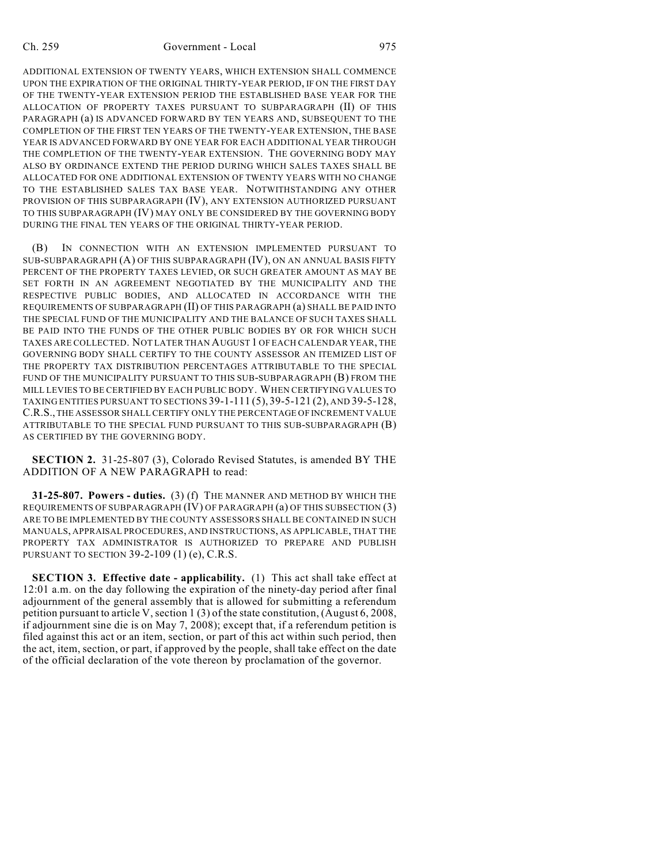ADDITIONAL EXTENSION OF TWENTY YEARS, WHICH EXTENSION SHALL COMMENCE UPON THE EXPIRATION OF THE ORIGINAL THIRTY-YEAR PERIOD, IF ON THE FIRST DAY OF THE TWENTY-YEAR EXTENSION PERIOD THE ESTABLISHED BASE YEAR FOR THE ALLOCATION OF PROPERTY TAXES PURSUANT TO SUBPARAGRAPH (II) OF THIS PARAGRAPH (a) IS ADVANCED FORWARD BY TEN YEARS AND, SUBSEQUENT TO THE COMPLETION OF THE FIRST TEN YEARS OF THE TWENTY-YEAR EXTENSION, THE BASE YEAR IS ADVANCED FORWARD BY ONE YEAR FOR EACH ADDITIONAL YEAR THROUGH THE COMPLETION OF THE TWENTY-YEAR EXTENSION. THE GOVERNING BODY MAY ALSO BY ORDINANCE EXTEND THE PERIOD DURING WHICH SALES TAXES SHALL BE ALLOCATED FOR ONE ADDITIONAL EXTENSION OF TWENTY YEARS WITH NO CHANGE TO THE ESTABLISHED SALES TAX BASE YEAR. NOTWITHSTANDING ANY OTHER PROVISION OF THIS SUBPARAGRAPH (IV), ANY EXTENSION AUTHORIZED PURSUANT TO THIS SUBPARAGRAPH (IV) MAY ONLY BE CONSIDERED BY THE GOVERNING BODY DURING THE FINAL TEN YEARS OF THE ORIGINAL THIRTY-YEAR PERIOD.

(B) IN CONNECTION WITH AN EXTENSION IMPLEMENTED PURSUANT TO SUB-SUBPARAGRAPH (A) OF THIS SUBPARAGRAPH (IV), ON AN ANNUAL BASIS FIFTY PERCENT OF THE PROPERTY TAXES LEVIED, OR SUCH GREATER AMOUNT AS MAY BE SET FORTH IN AN AGREEMENT NEGOTIATED BY THE MUNICIPALITY AND THE RESPECTIVE PUBLIC BODIES, AND ALLOCATED IN ACCORDANCE WITH THE REQUIREMENTS OF SUBPARAGRAPH (II) OF THIS PARAGRAPH (a) SHALL BE PAID INTO THE SPECIAL FUND OF THE MUNICIPALITY AND THE BALANCE OF SUCH TAXES SHALL BE PAID INTO THE FUNDS OF THE OTHER PUBLIC BODIES BY OR FOR WHICH SUCH TAXES ARE COLLECTED. NOT LATER THAN AUGUST 1 OF EACH CALENDAR YEAR, THE GOVERNING BODY SHALL CERTIFY TO THE COUNTY ASSESSOR AN ITEMIZED LIST OF THE PROPERTY TAX DISTRIBUTION PERCENTAGES ATTRIBUTABLE TO THE SPECIAL FUND OF THE MUNICIPALITY PURSUANT TO THIS SUB-SUBPARAGRAPH (B) FROM THE MILL LEVIES TO BE CERTIFIED BY EACH PUBLIC BODY. WHEN CERTIFYING VALUES TO TAXING ENTITIES PURSUANT TO SECTIONS 39-1-111 (5), 39-5-121 (2), AND 39-5-128, C.R.S., THE ASSESSOR SHALL CERTIFY ONLY THE PERCENTAGE OF INCREMENT VALUE ATTRIBUTABLE TO THE SPECIAL FUND PURSUANT TO THIS SUB-SUBPARAGRAPH (B) AS CERTIFIED BY THE GOVERNING BODY.

**SECTION 2.** 31-25-807 (3), Colorado Revised Statutes, is amended BY THE ADDITION OF A NEW PARAGRAPH to read:

**31-25-807. Powers - duties.** (3) (f) THE MANNER AND METHOD BY WHICH THE REQUIREMENTS OF SUBPARAGRAPH (IV) OF PARAGRAPH (a) OF THIS SUBSECTION (3) ARE TO BE IMPLEMENTED BY THE COUNTY ASSESSORS SHALL BE CONTAINED IN SUCH MANUALS, APPRAISAL PROCEDURES, AND INSTRUCTIONS, AS APPLICABLE, THAT THE PROPERTY TAX ADMINISTRATOR IS AUTHORIZED TO PREPARE AND PUBLISH PURSUANT TO SECTION 39-2-109 (1) (e), C.R.S.

**SECTION 3. Effective date - applicability.** (1) This act shall take effect at 12:01 a.m. on the day following the expiration of the ninety-day period after final adjournment of the general assembly that is allowed for submitting a referendum petition pursuant to article V, section 1 (3) of the state constitution, (August 6, 2008, if adjournment sine die is on May 7, 2008); except that, if a referendum petition is filed against this act or an item, section, or part of this act within such period, then the act, item, section, or part, if approved by the people, shall take effect on the date of the official declaration of the vote thereon by proclamation of the governor.